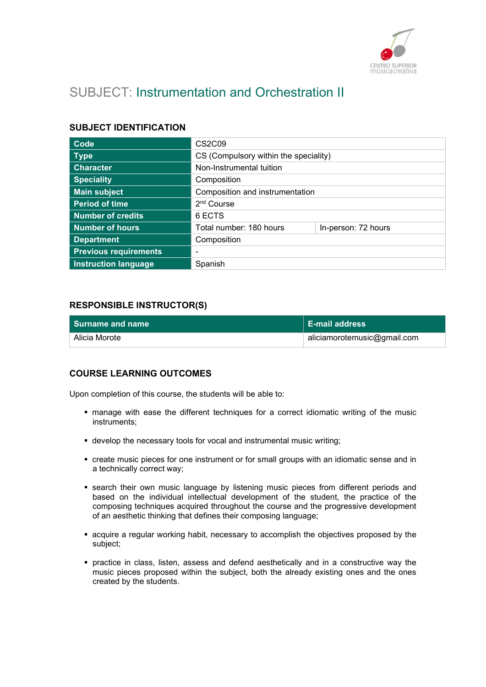

# SUBJECT: Instrumentation and Orchestration II

#### SUBJECT IDENTIFICATION

| <b>Code</b>                  | CS <sub>2</sub> C <sub>09</sub>       |                     |
|------------------------------|---------------------------------------|---------------------|
| <b>Type</b>                  | CS (Compulsory within the speciality) |                     |
| <b>Character</b>             | Non-Instrumental tuition              |                     |
| <b>Speciality</b>            | Composition                           |                     |
| <b>Main subject</b>          | Composition and instrumentation       |                     |
| <b>Period of time</b>        | 2 <sup>nd</sup> Course                |                     |
| <b>Number of credits</b>     | 6 ECTS                                |                     |
| Number of hours              | Total number: 180 hours               | In-person: 72 hours |
| <b>Department</b>            | Composition                           |                     |
| <b>Previous requirements</b> | -                                     |                     |
| <b>Instruction language</b>  | Spanish                               |                     |

## RESPONSIBLE INSTRUCTOR(S)

| <b>Surname and name</b> | ∣ E-mail address            |
|-------------------------|-----------------------------|
| Alicia Morote           | aliciamorotemusic@gmail.com |

#### COURSE LEARNING OUTCOMES

Upon completion of this course, the students will be able to:

- manage with ease the different techniques for a correct idiomatic writing of the music instruments;
- develop the necessary tools for vocal and instrumental music writing;
- create music pieces for one instrument or for small groups with an idiomatic sense and in a technically correct way;
- **Exerch their own music language by listening music pieces from different periods and** based on the individual intellectual development of the student, the practice of the composing techniques acquired throughout the course and the progressive development of an aesthetic thinking that defines their composing language;
- acquire a regular working habit, necessary to accomplish the objectives proposed by the subject;
- practice in class, listen, assess and defend aesthetically and in a constructive way the music pieces proposed within the subject, both the already existing ones and the ones created by the students.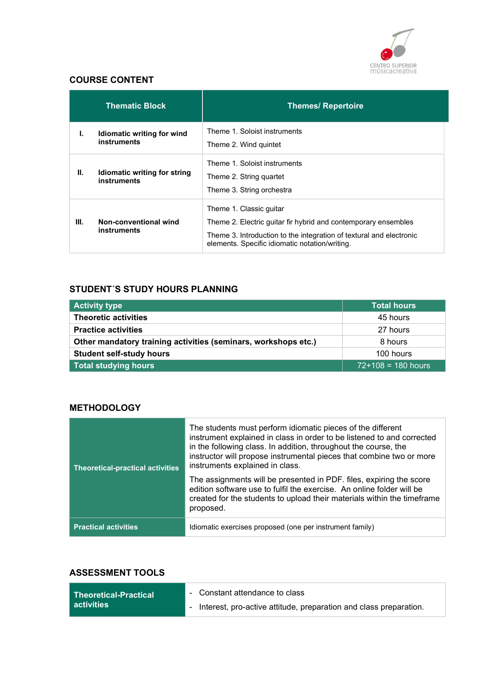

# COURSE CONTENT

|      | <b>Thematic Block</b>                       | <b>Themes/ Repertoire</b>                                                                                                                                                                                          |
|------|---------------------------------------------|--------------------------------------------------------------------------------------------------------------------------------------------------------------------------------------------------------------------|
| ı.   | Idiomatic writing for wind<br>instruments   | Theme 1. Soloist instruments<br>Theme 2. Wind quintet                                                                                                                                                              |
| Ш.   | Idiomatic writing for string<br>instruments | Theme 1. Soloist instruments<br>Theme 2. String quartet<br>Theme 3. String orchestra                                                                                                                               |
| III. | Non-conventional wind<br>instruments        | Theme 1. Classic quitar<br>Theme 2. Electric quitar fir hybrid and contemporary ensembles<br>Theme 3. Introduction to the integration of textural and electronic<br>elements. Specific idiomatic notation/writing. |

# STUDENT´S STUDY HOURS PLANNING

| <b>Activity type</b>                                           | <b>Total hours</b>   |
|----------------------------------------------------------------|----------------------|
| <b>Theoretic activities</b>                                    | 45 hours             |
| <b>Practice activities</b>                                     | 27 hours             |
| Other mandatory training activities (seminars, workshops etc.) | 8 hours              |
| <b>Student self-study hours</b>                                | 100 hours            |
| <b>Total studying hours</b>                                    | $72+108 = 180$ hours |

## **METHODOLOGY**

| <b>Theoretical-practical activities</b> | The students must perform idiomatic pieces of the different<br>instrument explained in class in order to be listened to and corrected<br>in the following class. In addition, throughout the course, the<br>instructor will propose instrumental pieces that combine two or more<br>instruments explained in class. |
|-----------------------------------------|---------------------------------------------------------------------------------------------------------------------------------------------------------------------------------------------------------------------------------------------------------------------------------------------------------------------|
|                                         | The assignments will be presented in PDF. files, expiring the score<br>edition software use to fulfil the exercise. An online folder will be<br>created for the students to upload their materials within the timeframe<br>proposed.                                                                                |
| <b>Practical activities</b>             | Idiomatic exercises proposed (one per instrument family)                                                                                                                                                                                                                                                            |

# ASSESSMENT TOOLS

| Theoretical-Practical | - Constant attendance to class                                      |
|-----------------------|---------------------------------------------------------------------|
| ∣ activities          | - Interest, pro-active attitude, preparation and class preparation. |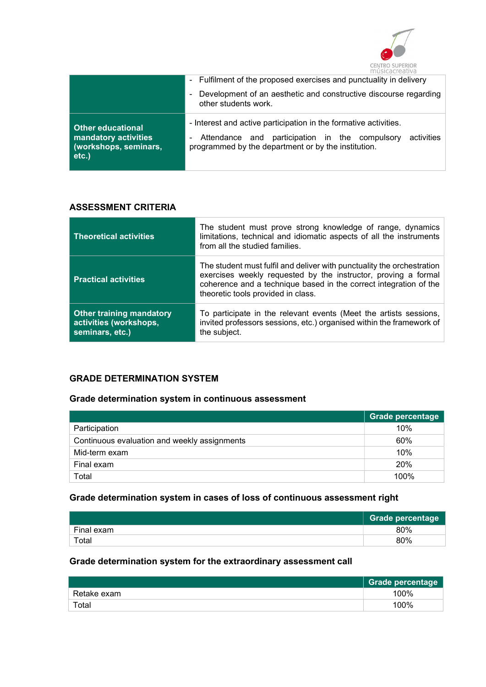

|                                                                                       | - Fulfilment of the proposed exercises and punctuality in delivery                                                                                                                      |  |
|---------------------------------------------------------------------------------------|-----------------------------------------------------------------------------------------------------------------------------------------------------------------------------------------|--|
|                                                                                       | Development of an aesthetic and constructive discourse regarding<br>other students work.                                                                                                |  |
| <b>Other educational</b><br>mandatory activities<br>(workshops, seminars,<br>$etc.$ ) | - Interest and active participation in the formative activities.<br>Attendance and participation in the compulsory<br>activities<br>programmed by the department or by the institution. |  |

#### ASSESSMENT CRITERIA

| <b>Theoretical activities</b>                                                | The student must prove strong knowledge of range, dynamics<br>limitations, technical and idiomatic aspects of all the instruments<br>from all the studied families.                                                                                 |
|------------------------------------------------------------------------------|-----------------------------------------------------------------------------------------------------------------------------------------------------------------------------------------------------------------------------------------------------|
| <b>Practical activities</b>                                                  | The student must fulfil and deliver with punctuality the orchestration<br>exercises weekly requested by the instructor, proving a formal<br>coherence and a technique based in the correct integration of the<br>theoretic tools provided in class. |
| <b>Other training mandatory</b><br>activities (workshops,<br>seminars, etc.) | To participate in the relevant events (Meet the artists sessions,<br>invited professors sessions, etc.) organised within the framework of<br>the subject.                                                                                           |

# GRADE DETERMINATION SYSTEM

#### Grade determination system in continuous assessment

|                                              | <b>Grade percentage</b> |
|----------------------------------------------|-------------------------|
| Participation                                | 10%                     |
| Continuous evaluation and weekly assignments | 60%                     |
| Mid-term exam                                | 10%                     |
| Final exam                                   | 20%                     |
| Total                                        | 100%                    |

# Grade determination system in cases of loss of continuous assessment right

|            | <b>Grade percentage</b> |
|------------|-------------------------|
| Final exam | 80%                     |
| Total      | 80%                     |

# Grade determination system for the extraordinary assessment call

|                        | Grade percentage |
|------------------------|------------------|
| Retake exam            | 100%             |
| $\tau$ <sub>otal</sub> | 100%             |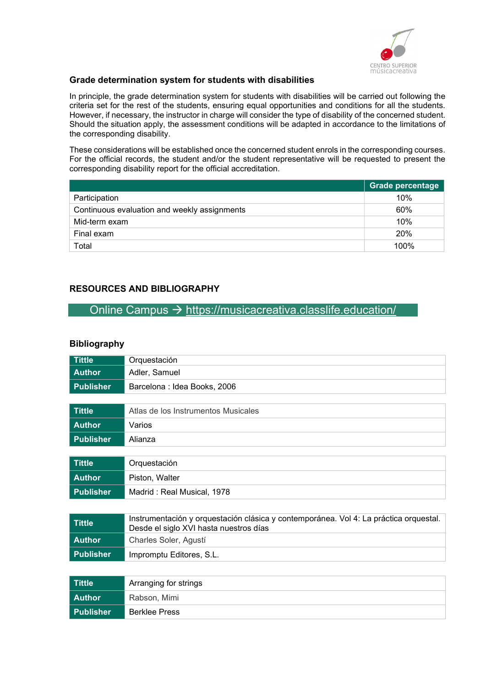

#### Grade determination system for students with disabilities

In principle, the grade determination system for students with disabilities will be carried out following the criteria set for the rest of the students, ensuring equal opportunities and conditions for all the students. However, if necessary, the instructor in charge will consider the type of disability of the concerned student. Should the situation apply, the assessment conditions will be adapted in accordance to the limitations of the corresponding disability.

These considerations will be established once the concerned student enrols in the corresponding courses. For the official records, the student and/or the student representative will be requested to present the corresponding disability report for the official accreditation.

|                                              | <b>Grade percentage</b> |
|----------------------------------------------|-------------------------|
| Participation                                | 10%                     |
| Continuous evaluation and weekly assignments | 60%                     |
| Mid-term exam                                | 10%                     |
| Final exam                                   | <b>20%</b>              |
| Total                                        | 100%                    |

## RESOURCES AND BIBLIOGRAPHY

# Online Campus  $\rightarrow$  https://musicacreativa.classlife.education/

#### **Bibliography**

| <b>Tittle</b>    | Orquestación                                                                                                                    |
|------------------|---------------------------------------------------------------------------------------------------------------------------------|
| <b>Author</b>    | Adler, Samuel                                                                                                                   |
| <b>Publisher</b> | Barcelona : Idea Books, 2006                                                                                                    |
|                  |                                                                                                                                 |
| <b>Tittle</b>    | Atlas de los Instrumentos Musicales                                                                                             |
| <b>Author</b>    | Varios                                                                                                                          |
| <b>Publisher</b> | Alianza                                                                                                                         |
|                  |                                                                                                                                 |
| <b>Tittle</b>    | Orquestación                                                                                                                    |
| <b>Author</b>    | Piston, Walter                                                                                                                  |
| <b>Publisher</b> | Madrid: Real Musical, 1978                                                                                                      |
|                  |                                                                                                                                 |
| <b>Tittle</b>    | Instrumentación y orquestación clásica y contemporánea. Vol 4: La práctica orquestal.<br>Desde el siglo XVI hasta nuestros días |
| <b>Author</b>    | Charles Soler, Agustí                                                                                                           |
| <b>Publisher</b> | Impromptu Editores, S.L.                                                                                                        |
|                  |                                                                                                                                 |
| <b>Tittle</b>    | Arranging for strings                                                                                                           |
| <b>Author</b>    | Rabson, Mimi                                                                                                                    |
| <b>Publisher</b> | <b>Berklee Press</b>                                                                                                            |